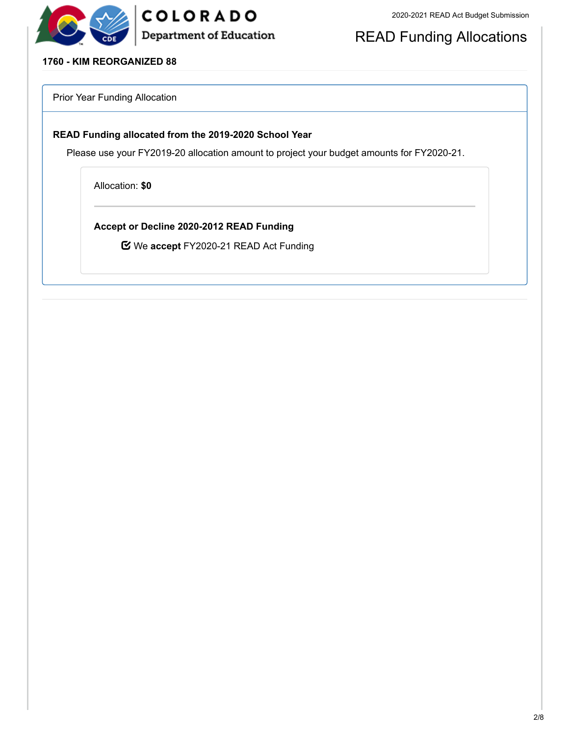



# READ Funding Allocations

### **1760 - KIM REORGANIZED 88**

Prior Year Funding Allocation

### **READ Funding allocated from the 2019-2020 School Year**

Please use your FY2019-20 allocation amount to project your budget amounts for FY2020-21.

Allocation: **\$0**

**Accept or Decline 2020-2012 READ Funding**

We **accept** FY2020-21 READ Act Funding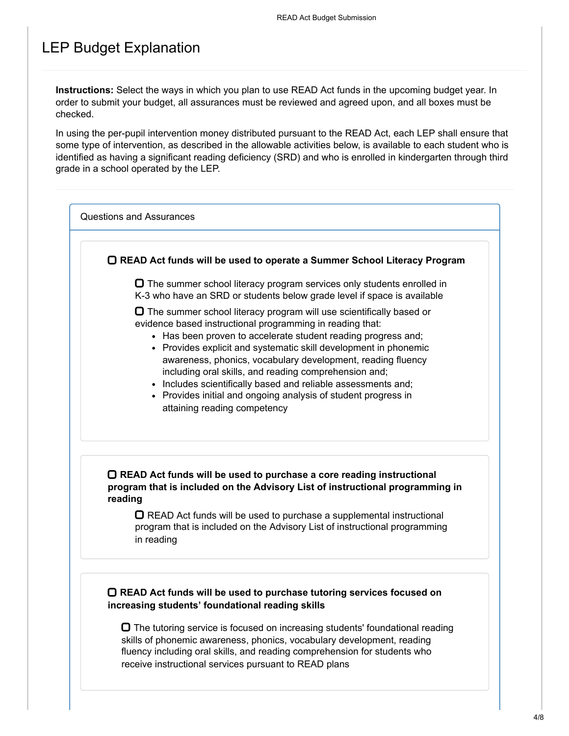# LEP Budget Explanation

**Instructions:** Select the ways in which you plan to use READ Act funds in the upcoming budget year. In order to submit your budget, all assurances must be reviewed and agreed upon, and all boxes must be checked.

In using the per-pupil intervention money distributed pursuant to the READ Act, each LEP shall ensure that some type of intervention, as described in the allowable activities below, is available to each student who is identified as having a significant reading deficiency (SRD) and who is enrolled in kindergarten through third grade in a school operated by the LEP.

Questions and Assurances

**READ Act funds will be used to operate a Summer School Literacy Program**

 $\Box$  The summer school literacy program services only students enrolled in K-3 who have an SRD or students below grade level if space is available

 $\Box$  The summer school literacy program will use scientifically based or evidence based instructional programming in reading that:

- Has been proven to accelerate student reading progress and;
- Provides explicit and systematic skill development in phonemic awareness, phonics, vocabulary development, reading fluency including oral skills, and reading comprehension and;
- Includes scientifically based and reliable assessments and;
- Provides initial and ongoing analysis of student progress in attaining reading competency

## **READ Act funds will be used to purchase a core reading instructional program that is included on the Advisory List of instructional programming in reading**

 $\Box$  READ Act funds will be used to purchase a supplemental instructional program that is included on the Advisory List of instructional programming in reading

### **READ Act funds will be used to purchase tutoring services focused on increasing students' foundational reading skills**

 $\Box$  The tutoring service is focused on increasing students' foundational reading skills of phonemic awareness, phonics, vocabulary development, reading fluency including oral skills, and reading comprehension for students who receive instructional services pursuant to READ plans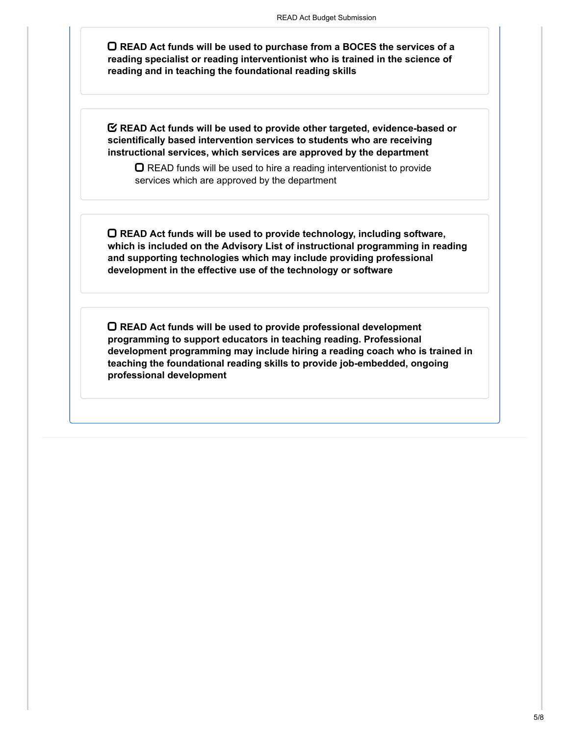**READ Act funds will be used to purchase from a BOCES the services of a reading specialist or reading interventionist who is trained in the science of reading and in teaching the foundational reading skills**

**READ Act funds will be used to provide other targeted, evidence-based or scientifically based intervention services to students who are receiving instructional services, which services are approved by the department**

 $\Box$  READ funds will be used to hire a reading interventionist to provide services which are approved by the department

**READ Act funds will be used to provide technology, including software, which is included on the Advisory List of instructional programming in reading and supporting technologies which may include providing professional development in the effective use of the technology or software**

**READ Act funds will be used to provide professional development programming to support educators in teaching reading. Professional development programming may include hiring a reading coach who is trained in teaching the foundational reading skills to provide job-embedded, ongoing professional development**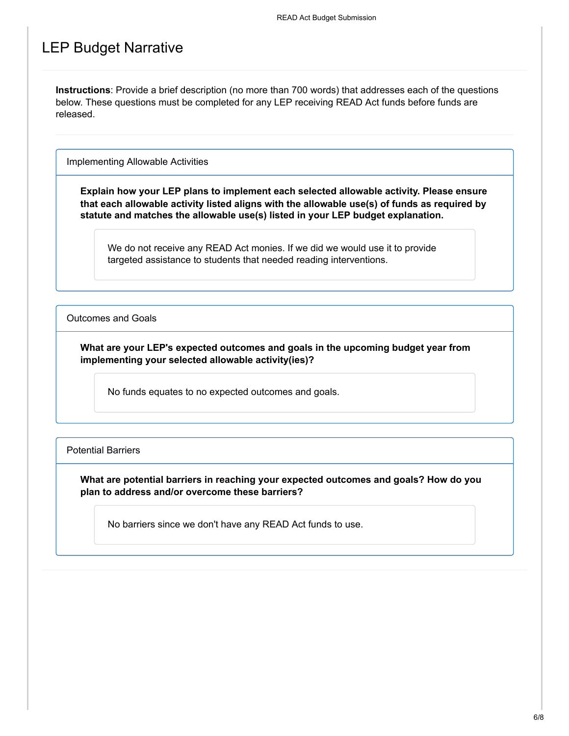## LEP Budget Narrative

**Instructions**: Provide a brief description (no more than 700 words) that addresses each of the questions below. These questions must be completed for any LEP receiving READ Act funds before funds are released.

Implementing Allowable Activities

**Explain how your LEP plans to implement each selected allowable activity. Please ensure that each allowable activity listed aligns with the allowable use(s) of funds as required by statute and matches the allowable use(s) listed in your LEP budget explanation.**

We do not receive any READ Act monies. If we did we would use it to provide targeted assistance to students that needed reading interventions.

Outcomes and Goals

**What are your LEP's expected outcomes and goals in the upcoming budget year from implementing your selected allowable activity(ies)?**

No funds equates to no expected outcomes and goals.

Potential Barriers

**What are potential barriers in reaching your expected outcomes and goals? How do you plan to address and/or overcome these barriers?**

No barriers since we don't have any READ Act funds to use.